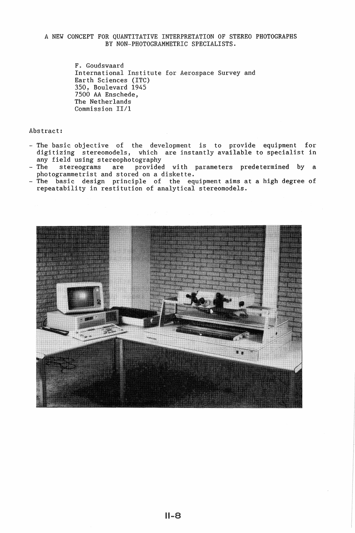# A NEW CONCEPT FOR QUANTITATIVE INTERPRETATION OF STEREO PHOTOGRAPHS BY NON-PHOTOGRAMMETRIC SPECIALISTS.

F. Goudswaard International Institute for Aerospace Survey and Earth Sciences (ITC) 350, Boulevard 1945 7500 AA Enschede, The Netherlands Commission II/1

Abstract:

- The basic objective of the development is to provide equipment for digitizing stereomodels, which are instantly available to specialist in<br>any field using stereophotography
- The stereograms are provided with parameters predetermined by a<br>photogrammetrist and stored on a diskette.
- The basic design principle of the equipment aims at a high degree of repeatability in restitution of analytical stereomodels.

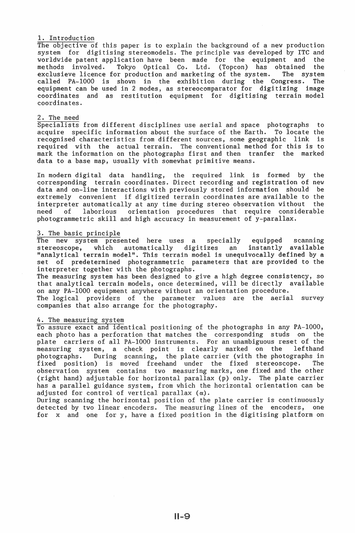## 1. Introduction

The objective of this paper is to explain the background of a new production system for digitising stereomodels. The principle was developed by ITC and worldwide patent application have been made for the equipment and the worldwide patent application have been made for the equipment and methods involved. Tokyo Optical Co. Ltd. (Topcon) has obtained the exclusieve licence for production and marketing of the system. The system called PA-1000 is shown in the exhibition during the Congress. The equipment can be used in 2 modes, as stereocomparator for digitizing image coordinates and as restitution equipment for digitising terrain model coordinates.

# 2. The need

Specialists from different disciplines use aerial and space photographs to acquire specific information about the surface of the Earth. To locate the recognised characteristics from different sources, some geographic link is required with the actual terrain. The conventional method for this is to mark the information on the photographs first and then tranfer the marked data to a base map, usually with somewhat primitive means.

In modern digital data handling, the required link is formed by the corresponding terrain coordinates. Direct recording and registration of new<br>data and on-line interactions with previously stored information should be data and on-line interactions with previously stored information should be extremely convenient if digitized terrain coordinates are available to the interpreter automatically at any time during stereo observation without the<br>need of laborious orientation procedures that require considerable need of laborious orientation procedures that require considerable photogrammetric skill and high accuracy in measurement of y-parallax.

#### 3. The basic principle

The new system presented here uses a specially equipped scanning stereoscope, which automatically digitizes an instantly available "analytical terrain model". This terrain model is unequivocally defined by a set of predetermined photogrammetric parameters that are provided to the interpreter together with the photographs.

The measuring system has been designed to give a high degree consistency, so that analytical terrain models, once determined, will be directly available on any PA-1000 equipment anywhere without an orientation procedure.

The logical providers of the parameter values are the aerial survey companies that also arrange for the photography.

#### 4. The measuring system

To assure exact and identical positioning of the photographs in any PA-1000, each photo has a perforation that matches the corresponding studs on the plate carriers of all PA-1000 instruments. For an unambiguous reset of the measuring system, a check point is clearly marked on the lefthand measuring system, a check point is clearly marked on the photographs. During scanning, the plate carrier (with the phot During scanning, the plate carrier (with the photographs in<br>n) is moved freehand under the fixed stereoscope. The fixed position) is moved freehand under the fixed stereoscope. observation system contains two measuring marks, one fixed and the other (right hand) adjustable for horizontal parallax (p} only. The plate carrier has a parallel guidance system, from which the horizontal orientation can be adjusted for control of vertical parallax  $(\alpha)$ .

During scanning the horizontal position of the plate carrier is continuously detected by two linear encoders. The measuring lines of the encoders, one for x and one for y, have a fixed position in the digitising platform on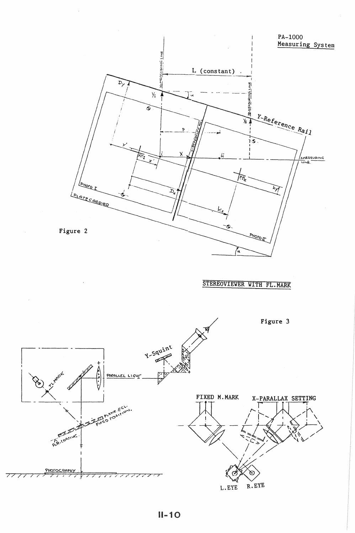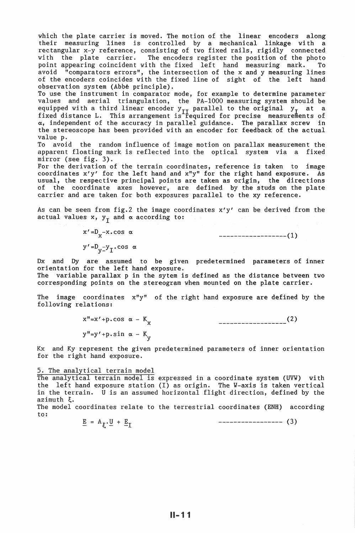which the plate carrier is moved. The motion of the linear encoders along their measuring lines is controlled by a mechanical linkage with a rectangular x-y reference, consisting of two fixed rails, rigidly connected with the plate carrier. The encoders register the position of the photo point appearing coincident with the fixed left hand measuring mark. To point appearing coincident with the fixed left hand measuring mark. avoid "comparators errors", the intersection of the x and y measuring lines of the encoders coincides with the fixed line of sight of the left hand observation system (Abbé principle).

To use the instrument in comparator mode, for example to determine parameter values and aerial triangulation, the PA-1000 measuring system should be equipped with a third linear encoder y<sub>II</sub> parallel to the original y<sub>I</sub> at a<br>fixed distance L. This arrangement is required for precise measurements of a, independent of the accuracy in parallel guidance. The parallax screw in the stereoscope has been provided with an encoder for feedback of the actual

value p.<br>To avoid the random influence of image motion on parallax measurement the apparent floating mark is reflected into the optical system via a fixed mirror (see fig. 3).

For the derivation of the terrain coordinates, reference is taken to image coordinates x'y' for the left hand and x"y" for the right hand exposure. As usual, the respective principal points are taken as origin, the directions of the coordinate axes however, are defined by the studs on the plate carrier and are taken for both exposures parallel to the xy reference.

As can be seen from fig.2 the image coordinates x'y' can be derived from the actual values  $x$ ,  $y_T$  and  $\alpha$  according to:

> $x' = D_X - x \cdot \cos \alpha$  $y' = D_y = y_1 \cdot \cos \alpha$

------------------(1)

Dx and Dy are assumed to be given predetermined parameters of inner orientation for the left hand exposure.

The variable parallax p in the sytem is defined as the distance between two corresponding points on the stereogram when mounted on the plate carrier.

The image coordinates x"y" of the right hand exposure are defined by the following relations:

> $x''=x'+p \cdot cos \alpha - K_x$  $y''=y'+p \cdot \sin \alpha - K_y$ (2)

Kx and Ky represent the given predetermined parameters of inner orientation for the right hand exposure.

## 5. The analytical terrain model

The analytical terrain model is expressed in a coordinate system (UVW) with the left hand exposure station (I) as origin. The W-axis is taken vertical in the terrain. U is an assumed horizontal flight direction, defined by the  $azimuth$   $\xi$ .

The model coordinates relate to the terrestrial coordinates (ENH) according to:

 $\underline{E} = A_{\xi} \cdot \underline{U} + \underline{E}_{\text{I}}$  ------------------- (3)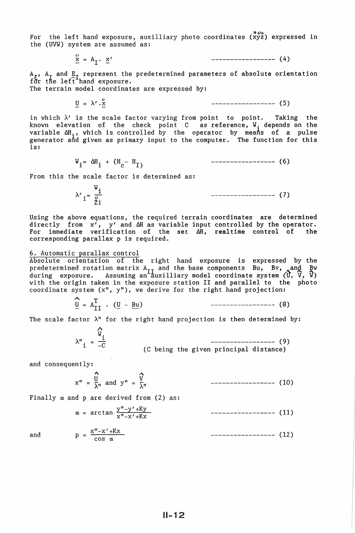For the left hand exposure, auxilliary photo coordinates  $\overset{\bullet}{(xyz)}$  expressed in the (UVW) system are assumed as:

 $\frac{\alpha}{x}$  = A<sub>T</sub>.  $\frac{x'}{x}$ 

 $A_{\epsilon}$ ,  $A_{\tau}$  and  $E_{\tau}$  represent the predetermined parameters of absolute orientation for the left hand exposure.

The terrain model coordinates are expressed by:

 $U = \lambda' \cdot X^{\circ}$ 

<sup>U</sup>= A' .x - - ----------------- (5)

----------------- (4)

in which  $\lambda'$  is the scale factor varying from point to point. Taking the known elevation of the check point  $C$  as reference,  $W_i$  depends on the variable  $\Delta H$ , which is controlled by the operator by means of a pulse generator and given as primary input to the computer. The function for this is:

$$
W_{i} = \Delta H_{i} + (H_{c} - H_{I})
$$
 (6)

From this the scale factor is determined as:

 $\lambda'$   $i = \frac{V_i}{g_i}$ ----------------- (7)

Using the above equations, the required terrain coordinates are determined directly from x', y' and  $\Delta H$  as variable input controlled by the operator. For immediate verification of the set  $\Delta H$ , realtime control of the corresponding parallax p is required.

#### 6. Automatic parallax control

Absolute orientation of the right hand exposure is expressed by the predetermined rotation matrix A<sub>II</sub> and the base components Bu, Bv, and Bw<br>during exposure. Assuming an auxilliary model coordinate system (U, V, W) with the origin taken in the exposure station II and parallel to the photo coordinate system (x", y"), we derive for the right hand projection:

$$
\underline{\underline{U}} = A_{II}^{T} \cdot (\underline{U} - \underline{B} \underline{u}) \qquad \qquad \qquad \text{---}
$$
 (8)

The scale factor  $\lambda$ " for the right hand projection is then determined by:

A  $\lambda''\frac{1}{2}$ *'W.*  1  $\frac{1}{-C}$  --------------------- (9)<br>(C being the given principal distance)

and consequently:

1\ A x" = ~" and y" = \*" ----------------- (10)

Finally  $\alpha$  and  $p$  are derived from (2) as:

$$
\alpha = \arctan \frac{y'' - y' + Ky}{x'' - x' + Kx} \qquad \qquad \text{---}
$$
 (11)

$$
= \frac{x''-x'+Kx}{\cos \alpha} \qquad \qquad \text{---}
$$
 (12)

and p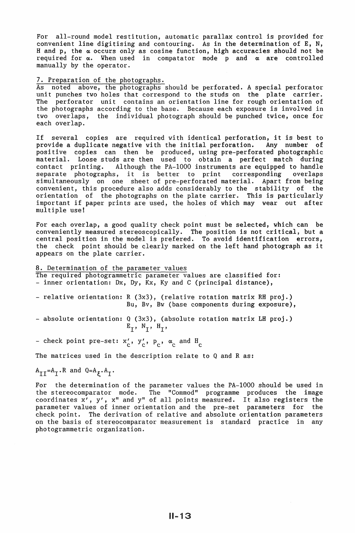For all-round model restitution, automatic parallax control is provided for convenient line digitising and contouring. As in the determination of E, N, H and p, the  $\alpha$  occurs only as cosine function, high accuracies should not be required for  $\alpha$ . When used in compatator mode p and  $\alpha$  are controlled manually by the operator.

### 7. Preparation of the photographs.

As noted above, the photographs should be perforated. A special perforator unit punches two holes that correspond to the studs on the plate carrier. The perforator unit contains an orientation line for rough orientation of the photographs according to the base. Because each exposure is involved in two overlaps, the individual photograph should be punched twice, once for each overlap.

If several copies are required with identical perforation, it is best to provide a duplicate negative with the initial perforation. Any number of positive copies can then be produced, using pre-perforated photographic material. Loose studs are then used to obtain a perfect match during contact printing. Although the PA-1000 instruments are equipped to handle separate photographs, it is better to print corresponding overlaps simultaneously on one sheet of pre-perforated material. Apart from being convenient, this procedure also adds considerably to the stability of the orientation of the photographs on the plate carrier. This is particularly important if paper prints are used, the holes of which may wear out after multiple use!

For each overlap, a good quality check point must be selected, which can be conveniently measured stereoscopically. The position is not critical, but a central position in the model is prefered. To avoid identification errors, the check point should be clearly marked on the left hand photograph as it appears on the plate carrier.

8. Determination of the parameter values The required photogrammetric parameter values are classified for:<br>- inner orientation: Dx, Dy, Kx, Ky and C (principal distance), - relative orientation: R (3x3), (relative rotation matrix RH proj.) Bu, Bv, Bw (base components during exposure), -absolute orientation: Q (3x3), (absolute rotation matrix LH proj.)  $E_T$ ,  $N_T$ ,  $H_T$ , - check point pre-set:  $x'_c$ ,  $y'_c$ ,  $p_c$ ,  $\alpha_c$  and  $H_c$ 

The matrices used in the description relate to Q and R as:

$$
A_{II} = A_I \cdot R \text{ and } Q = A_{\xi} \cdot A_I \cdot R
$$

For the determination of the parameter values the PA-1000 should be used in the stereocomparator mode. The "Commod" programme produces the image coordinates  $x^7$ ,  $y'$ ,  $x''$  and  $y''$  of all points measured. It also registers the parameter values of inner orientation and the pre-set parameters for the parameter values of inner orientation and the pre-set parameters for check point. The derivation of relative and absolute orientation parameters on the basis of stereocomparator measurement is standard practice in any photogrammetric organization.